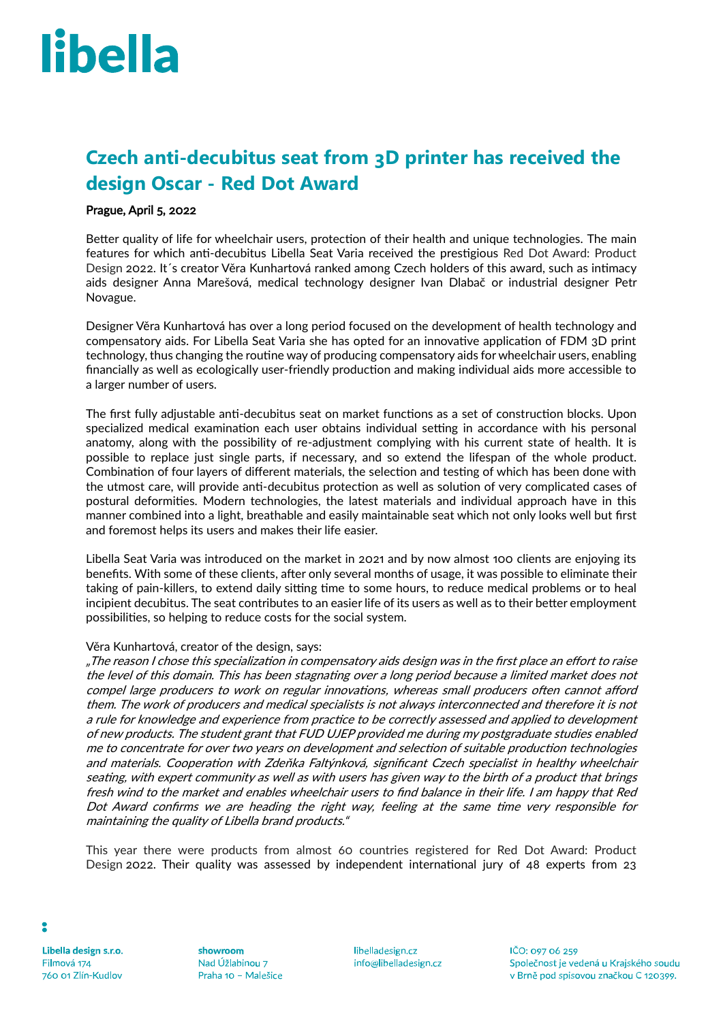# libella

# **Czech anti-decubitus seat from 3D printer has received the design Oscar - Red Dot Award**

### Prague, April 5, 2022

Better quality of life for wheelchair users, protection of their health and unique technologies. The main features for which anti-decubitus Libella Seat Varia received the prestigious Red Dot Award: Product Design 2022. It´s creator Věra Kunhartová ranked among Czech holders of this award, such as intimacy aids designer Anna Marešová, medical technology designer Ivan Dlabač or industrial designer Petr Novague.

Designer Věra Kunhartová has over a long period focused on the development of health technology and compensatory aids. For Libella Seat Varia she has opted for an innovative application of FDM 3D print technology, thus changing the routine way of producing compensatory aids for wheelchair users, enabling financially as well as ecologically user-friendly production and making individual aids more accessible to a larger number of users.

The first fully adjustable anti-decubitus seat on market functions as a set of construction blocks. Upon specialized medical examination each user obtains individual setting in accordance with his personal anatomy, along with the possibility of re-adjustment complying with his current state of health. It is possible to replace just single parts, if necessary, and so extend the lifespan of the whole product. Combination of four layers of different materials, the selection and testing of which has been done with the utmost care, will provide anti-decubitus protection as well as solution of very complicated cases of postural deformities. Modern technologies, the latest materials and individual approach have in this manner combined into a light, breathable and easily maintainable seat which not only looks well but first and foremost helps its users and makes their life easier.

Libella Seat Varia was introduced on the market in 2021 and by now almost 100 clients are enjoying its benefits. With some of these clients, after only several months of usage, it was possible to eliminate their taking of pain-killers, to extend daily sitting time to some hours, to reduce medical problems or to heal incipient decubitus. The seat contributes to an easier life of its users as well as to their better employment possibilities, so helping to reduce costs for the social system.

### Věra Kunhartová, creator of the design, says:

"The reason I chose this specialization in compensatory aids design was in the first place an effort to raise the level of this domain. This has been stagnating over a long period because a limited market does not compel large producers to work on regular innovations, whereas small producers often cannot afford them. The work of producers and medical specialists is not always interconnected and therefore it is not a rule for knowledge and experience from practice to be correctly assessed and applied to development of new products. The student grant that FUD UJEP provided me during my postgraduate studies enabled me to concentrate for over two years on development and selection of suitable production technologies and materials. Cooperation with Zdeňka Faltýnková, significant Czech specialist in healthy wheelchair seating, with expert community as well as with users has given way to the birth of a product that brings fresh wind to the market and enables wheelchair users to find balance in their life. I am happy that Red Dot Award confirms we are heading the right way, feeling at the same time very responsible for maintaining the quality of Libella brand products."

This year there were products from almost 60 countries registered for Red Dot Award: Product Design 2022. Their quality was assessed by independent international jury of 48 experts from 23

Libella design s.r.o. Filmová 174 760 01 Zlín-Kudlov

showroom Nad Úžlabinou 7 Praha 10 - Malešice

libelladesign.cz info@libelladesign.cz  $1CO: 09706259$ Společnost je vedená u Krajského soudu v Brně pod spisovou značkou C 120399.